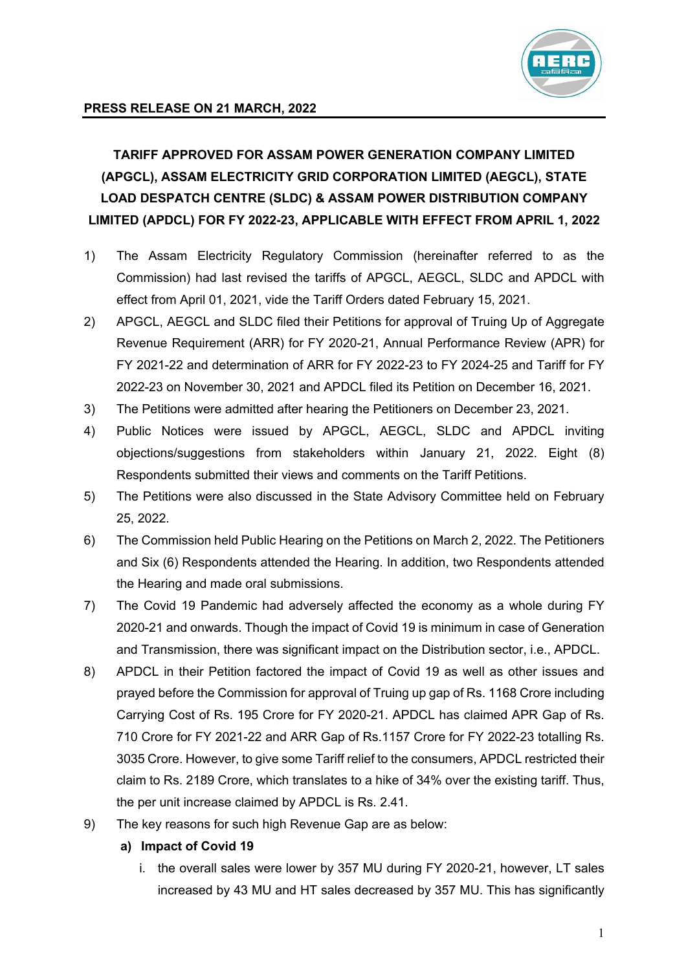

# **TARIFF APPROVED FOR ASSAM POWER GENERATION COMPANY LIMITED (APGCL), ASSAM ELECTRICITY GRID CORPORATION LIMITED (AEGCL), STATE LOAD DESPATCH CENTRE (SLDC) & ASSAM POWER DISTRIBUTION COMPANY LIMITED (APDCL) FOR FY 2022-23, APPLICABLE WITH EFFECT FROM APRIL 1, 2022**

- 1) The Assam Electricity Regulatory Commission (hereinafter referred to as the Commission) had last revised the tariffs of APGCL, AEGCL, SLDC and APDCL with effect from April 01, 2021, vide the Tariff Orders dated February 15, 2021.
- 2) APGCL, AEGCL and SLDC filed their Petitions for approval of Truing Up of Aggregate Revenue Requirement (ARR) for FY 2020-21, Annual Performance Review (APR) for FY 2021-22 and determination of ARR for FY 2022-23 to FY 2024-25 and Tariff for FY 2022-23 on November 30, 2021 and APDCL filed its Petition on December 16, 2021.
- 3) The Petitions were admitted after hearing the Petitioners on December 23, 2021.
- 4) Public Notices were issued by APGCL, AEGCL, SLDC and APDCL inviting objections/suggestions from stakeholders within January 21, 2022. Eight (8) Respondents submitted their views and comments on the Tariff Petitions.
- 5) The Petitions were also discussed in the State Advisory Committee held on February 25, 2022.
- 6) The Commission held Public Hearing on the Petitions on March 2, 2022. The Petitioners and Six (6) Respondents attended the Hearing. In addition, two Respondents attended the Hearing and made oral submissions.
- 7) The Covid 19 Pandemic had adversely affected the economy as a whole during FY 2020-21 and onwards. Though the impact of Covid 19 is minimum in case of Generation and Transmission, there was significant impact on the Distribution sector, i.e., APDCL.
- 8) APDCL in their Petition factored the impact of Covid 19 as well as other issues and prayed before the Commission for approval of Truing up gap of Rs. 1168 Crore including Carrying Cost of Rs. 195 Crore for FY 2020-21. APDCL has claimed APR Gap of Rs. 710 Crore for FY 2021-22 and ARR Gap of Rs.1157 Crore for FY 2022-23 totalling Rs. 3035 Crore. However, to give some Tariff relief to the consumers, APDCL restricted their claim to Rs. 2189 Crore, which translates to a hike of 34% over the existing tariff. Thus, the per unit increase claimed by APDCL is Rs. 2.41.
- 9) The key reasons for such high Revenue Gap are as below:
	- **a) Impact of Covid 19**
		- i. the overall sales were lower by 357 MU during FY 2020-21, however, LT sales increased by 43 MU and HT sales decreased by 357 MU. This has significantly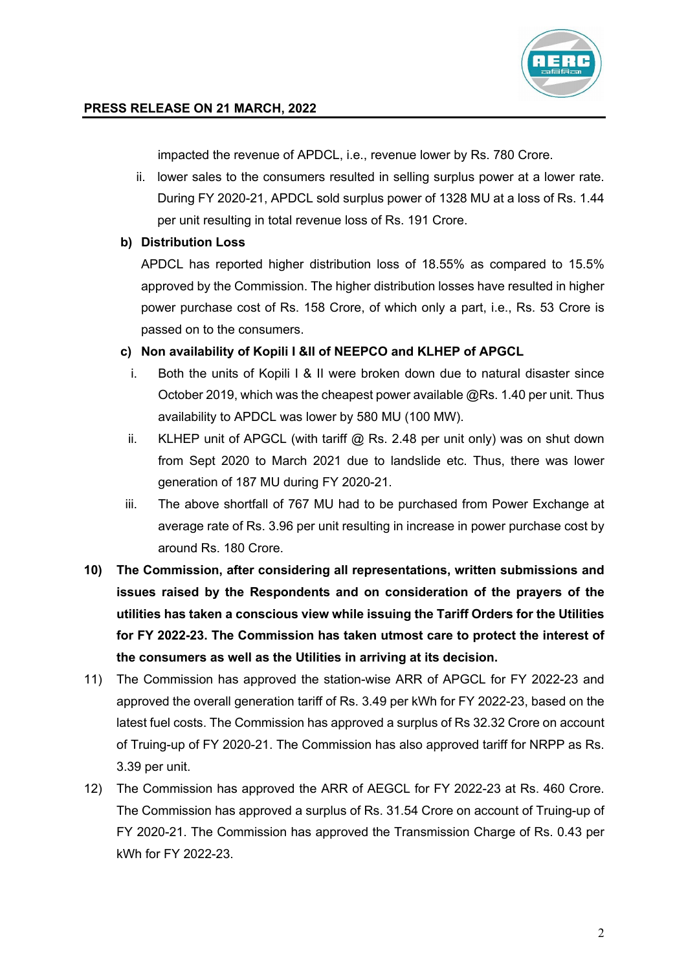

impacted the revenue of APDCL, i.e., revenue lower by Rs. 780 Crore.

ii. lower sales to the consumers resulted in selling surplus power at a lower rate. During FY 2020-21, APDCL sold surplus power of 1328 MU at a loss of Rs. 1.44 per unit resulting in total revenue loss of Rs. 191 Crore.

#### **b) Distribution Loss**

APDCL has reported higher distribution loss of 18.55% as compared to 15.5% approved by the Commission. The higher distribution losses have resulted in higher power purchase cost of Rs. 158 Crore, of which only a part, i.e., Rs. 53 Crore is passed on to the consumers.

#### **c) Non availability of Kopili I &II of NEEPCO and KLHEP of APGCL**

- i. Both the units of Kopili I & II were broken down due to natural disaster since October 2019, which was the cheapest power available @Rs. 1.40 per unit. Thus availability to APDCL was lower by 580 MU (100 MW).
- ii. KLHEP unit of APGCL (with tariff  $@$  Rs. 2.48 per unit only) was on shut down from Sept 2020 to March 2021 due to landslide etc. Thus, there was lower generation of 187 MU during FY 2020-21.
- iii. The above shortfall of 767 MU had to be purchased from Power Exchange at average rate of Rs. 3.96 per unit resulting in increase in power purchase cost by around Rs. 180 Crore.
- **10) The Commission, after considering all representations, written submissions and issues raised by the Respondents and on consideration of the prayers of the utilities has taken a conscious view while issuing the Tariff Orders for the Utilities for FY 2022-23. The Commission has taken utmost care to protect the interest of the consumers as well as the Utilities in arriving at its decision.**
- 11) The Commission has approved the station-wise ARR of APGCL for FY 2022-23 and approved the overall generation tariff of Rs. 3.49 per kWh for FY 2022-23, based on the latest fuel costs. The Commission has approved a surplus of Rs 32.32 Crore on account of Truing-up of FY 2020-21. The Commission has also approved tariff for NRPP as Rs. 3.39 per unit.
- 12) The Commission has approved the ARR of AEGCL for FY 2022-23 at Rs. 460 Crore. The Commission has approved a surplus of Rs. 31.54 Crore on account of Truing-up of FY 2020-21. The Commission has approved the Transmission Charge of Rs. 0.43 per kWh for FY 2022-23.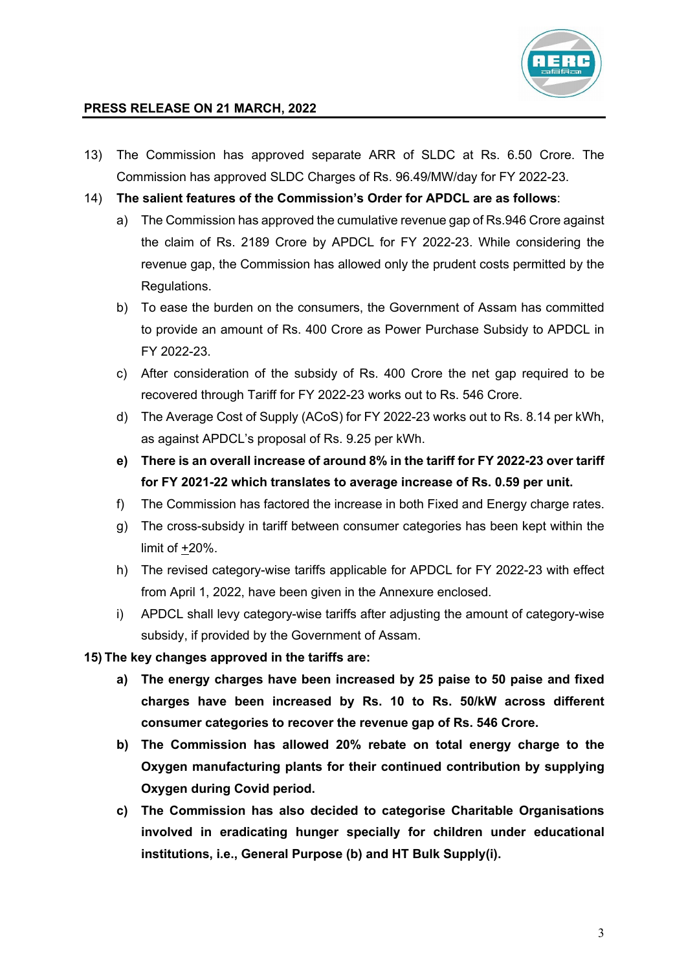

- 13) The Commission has approved separate ARR of SLDC at Rs. 6.50 Crore. The Commission has approved SLDC Charges of Rs. 96.49/MW/day for FY 2022-23.
- 14) **The salient features of the Commission's Order for APDCL are as follows**:
	- a) The Commission has approved the cumulative revenue gap of Rs.946 Crore against the claim of Rs. 2189 Crore by APDCL for FY 2022-23. While considering the revenue gap, the Commission has allowed only the prudent costs permitted by the Regulations.
	- b) To ease the burden on the consumers, the Government of Assam has committed to provide an amount of Rs. 400 Crore as Power Purchase Subsidy to APDCL in FY 2022-23.
	- c) After consideration of the subsidy of Rs. 400 Crore the net gap required to be recovered through Tariff for FY 2022-23 works out to Rs. 546 Crore.
	- d) The Average Cost of Supply (ACoS) for FY 2022-23 works out to Rs. 8.14 per kWh, as against APDCL's proposal of Rs. 9.25 per kWh.
	- **e) There is an overall increase of around 8% in the tariff for FY 2022-23 over tariff for FY 2021-22 which translates to average increase of Rs. 0.59 per unit.**
	- f) The Commission has factored the increase in both Fixed and Energy charge rates.
	- g) The cross-subsidy in tariff between consumer categories has been kept within the limit of +20%.
	- h) The revised category-wise tariffs applicable for APDCL for FY 2022-23 with effect from April 1, 2022, have been given in the Annexure enclosed.
	- i) APDCL shall levy category-wise tariffs after adjusting the amount of category-wise subsidy, if provided by the Government of Assam.

**15) The key changes approved in the tariffs are:**

- **a) The energy charges have been increased by 25 paise to 50 paise and fixed charges have been increased by Rs. 10 to Rs. 50/kW across different consumer categories to recover the revenue gap of Rs. 546 Crore.**
- **b) The Commission has allowed 20% rebate on total energy charge to the Oxygen manufacturing plants for their continued contribution by supplying Oxygen during Covid period.**
- **c) The Commission has also decided to categorise Charitable Organisations involved in eradicating hunger specially for children under educational institutions, i.e., General Purpose (b) and HT Bulk Supply(i).**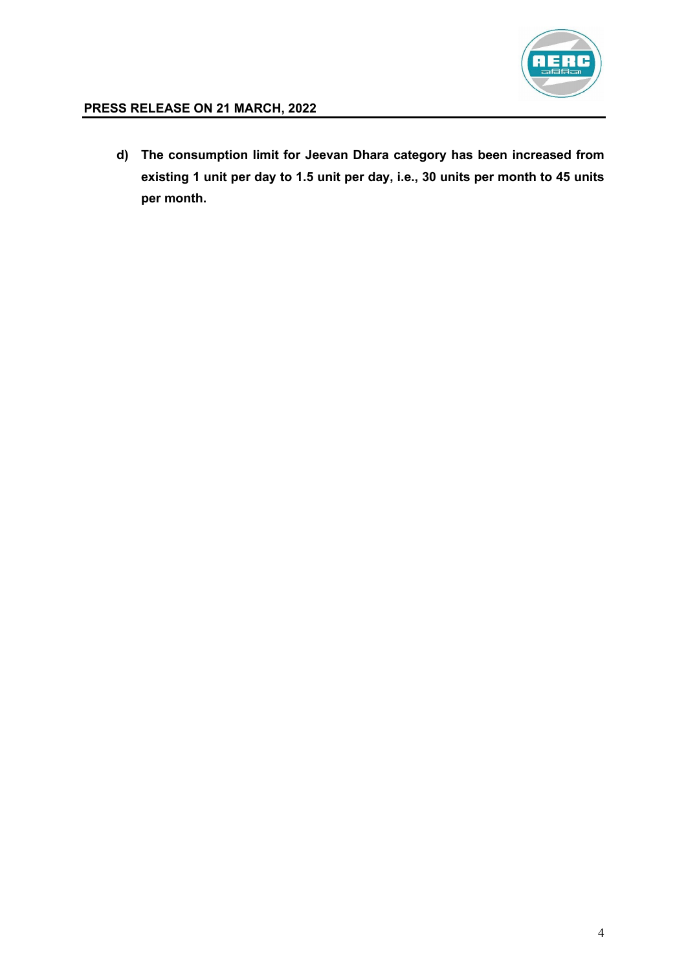

**d) The consumption limit for Jeevan Dhara category has been increased from existing 1 unit per day to 1.5 unit per day, i.e., 30 units per month to 45 units per month.**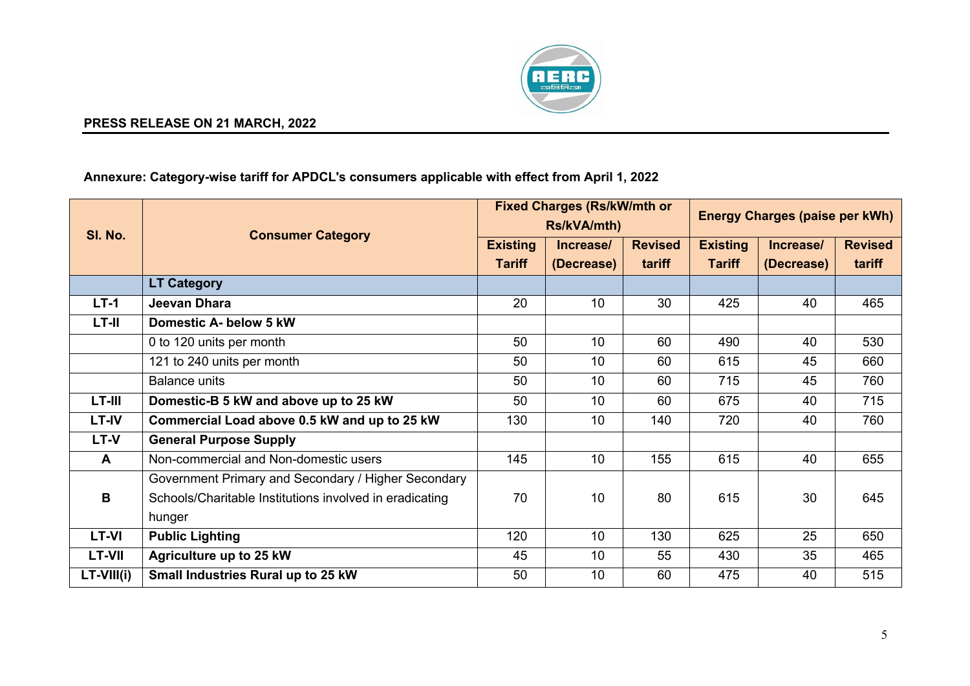

## **Annexure: Category-wise tariff for APDCL's consumers applicable with effect from April 1, 2022**

| SI. No.       | <b>Consumer Category</b>                                | <b>Fixed Charges (Rs/kW/mth or</b><br>Rs/kVA/mth) |                 |                | <b>Energy Charges (paise per kWh)</b> |            |                |  |
|---------------|---------------------------------------------------------|---------------------------------------------------|-----------------|----------------|---------------------------------------|------------|----------------|--|
|               |                                                         | <b>Existing</b>                                   | Increase/       | <b>Revised</b> | <b>Existing</b>                       | Increase/  | <b>Revised</b> |  |
|               |                                                         | <b>Tariff</b>                                     | (Decrease)      | tariff         | <b>Tariff</b>                         | (Decrease) | tariff         |  |
|               | <b>LT Category</b>                                      |                                                   |                 |                |                                       |            |                |  |
| $LT-1$        | Jeevan Dhara                                            | 20                                                | 10              | 30             | 425                                   | 40         | 465            |  |
| LT-II         | Domestic A- below 5 kW                                  |                                                   |                 |                |                                       |            |                |  |
|               | 0 to 120 units per month                                | 50                                                | 10 <sup>1</sup> | 60             | 490                                   | 40         | 530            |  |
|               | 121 to 240 units per month                              | 50                                                | 10 <sup>1</sup> | 60             | 615                                   | 45         | 660            |  |
|               | <b>Balance units</b>                                    | 50                                                | 10 <sup>1</sup> | 60             | 715                                   | 45         | 760            |  |
| LT-III        | Domestic-B 5 kW and above up to 25 kW                   | 50                                                | 10              | 60             | 675                                   | 40         | 715            |  |
| <b>LT-IV</b>  | Commercial Load above 0.5 kW and up to 25 kW            | 130                                               | 10 <sup>1</sup> | 140            | 720                                   | 40         | 760            |  |
| <b>LT-V</b>   | <b>General Purpose Supply</b>                           |                                                   |                 |                |                                       |            |                |  |
| A             | Non-commercial and Non-domestic users                   | 145                                               | 10 <sup>1</sup> | 155            | 615                                   | 40         | 655            |  |
|               | Government Primary and Secondary / Higher Secondary     |                                                   |                 |                |                                       |            |                |  |
| B             | Schools/Charitable Institutions involved in eradicating | 70                                                | 10              | 80             | 615                                   | 30         | 645            |  |
|               | hunger                                                  |                                                   |                 |                |                                       |            |                |  |
| <b>LT-VI</b>  | <b>Public Lighting</b>                                  | 120                                               | 10 <sup>1</sup> | 130            | 625                                   | 25         | 650            |  |
| <b>LT-VII</b> | Agriculture up to 25 kW                                 | 45                                                | 10              | 55             | 430                                   | 35         | 465            |  |
| $LT-VIII(i)$  | Small Industries Rural up to 25 kW                      | 50                                                | 10              | 60             | 475                                   | 40         | 515            |  |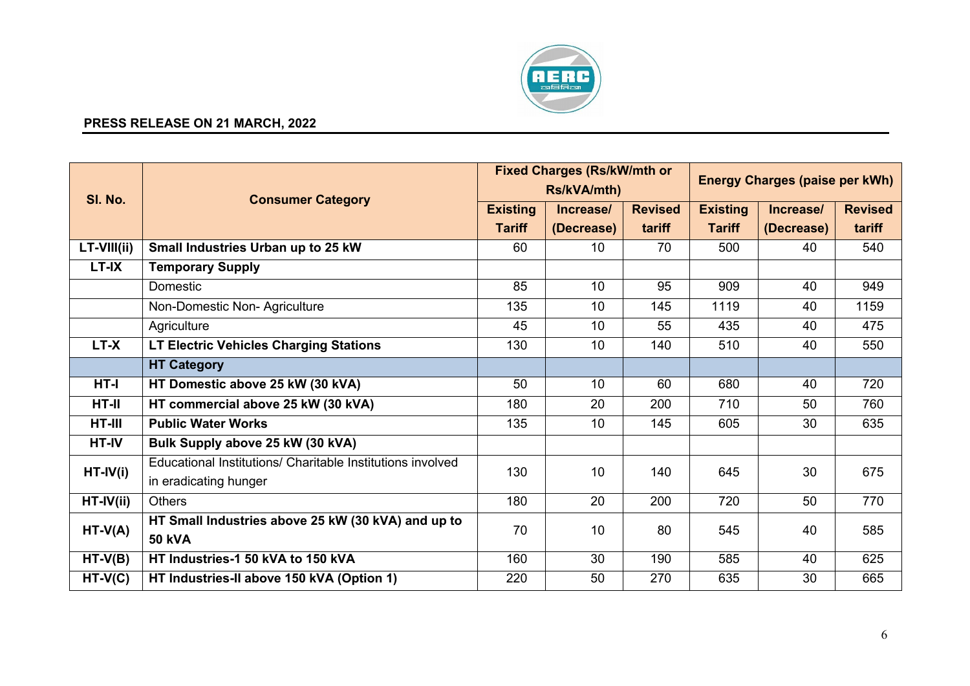

| SI. No.     | <b>Consumer Category</b>                                   | <b>Fixed Charges (Rs/kW/mth or</b><br>Rs/kVA/mth) |            |                | <b>Energy Charges (paise per kWh)</b> |            |                |
|-------------|------------------------------------------------------------|---------------------------------------------------|------------|----------------|---------------------------------------|------------|----------------|
|             |                                                            | <b>Existing</b>                                   | Increase/  | <b>Revised</b> | <b>Existing</b>                       | Increase/  | <b>Revised</b> |
|             |                                                            | <b>Tariff</b>                                     | (Decrease) | tariff         | <b>Tariff</b>                         | (Decrease) | tariff         |
| LT-VIII(ii) | Small Industries Urban up to 25 kW                         | 60                                                | 10         | 70             | 500                                   | 40         | 540            |
| LT-IX       | <b>Temporary Supply</b>                                    |                                                   |            |                |                                       |            |                |
|             | Domestic                                                   | 85                                                | 10         | 95             | 909                                   | 40         | 949            |
|             | Non-Domestic Non-Agriculture                               | 135                                               | 10         | 145            | 1119                                  | 40         | 1159           |
|             | Agriculture                                                | 45                                                | 10         | 55             | 435                                   | 40         | 475            |
| LT-X        | <b>LT Electric Vehicles Charging Stations</b>              | 130                                               | 10         | 140            | 510                                   | 40         | 550            |
|             | <b>HT Category</b>                                         |                                                   |            |                |                                       |            |                |
| HT-I        | HT Domestic above 25 kW (30 kVA)                           | 50                                                | 10         | 60             | 680                                   | 40         | 720            |
| $HT-II$     | HT commercial above 25 kW (30 kVA)                         | 180                                               | 20         | 200            | 710                                   | 50         | 760            |
| HT-III      | <b>Public Water Works</b>                                  | 135                                               | 10         | 145            | 605                                   | 30         | 635            |
| HT-IV       | Bulk Supply above 25 kW (30 kVA)                           |                                                   |            |                |                                       |            |                |
| $HT-IV(i)$  | Educational Institutions/ Charitable Institutions involved | 130                                               | 10         | 140            | 645                                   | 30         | 675            |
|             | in eradicating hunger                                      |                                                   |            |                |                                       |            |                |
| $HT-IV(ii)$ | <b>Others</b>                                              | 180                                               | 20         | 200            | 720                                   | 50         | 770            |
| $HT-V(A)$   | HT Small Industries above 25 kW (30 kVA) and up to         | 70                                                | 10         | 80             | 545                                   | 40         | 585            |
|             | <b>50 kVA</b>                                              |                                                   |            |                |                                       |            |                |
| $HT-V(B)$   | HT Industries-1 50 kVA to 150 kVA                          | 160                                               | 30         | 190            | 585                                   | 40         | 625            |
| $HT-V(C)$   | HT Industries-II above 150 kVA (Option 1)                  | 220                                               | 50         | 270            | 635                                   | 30         | 665            |